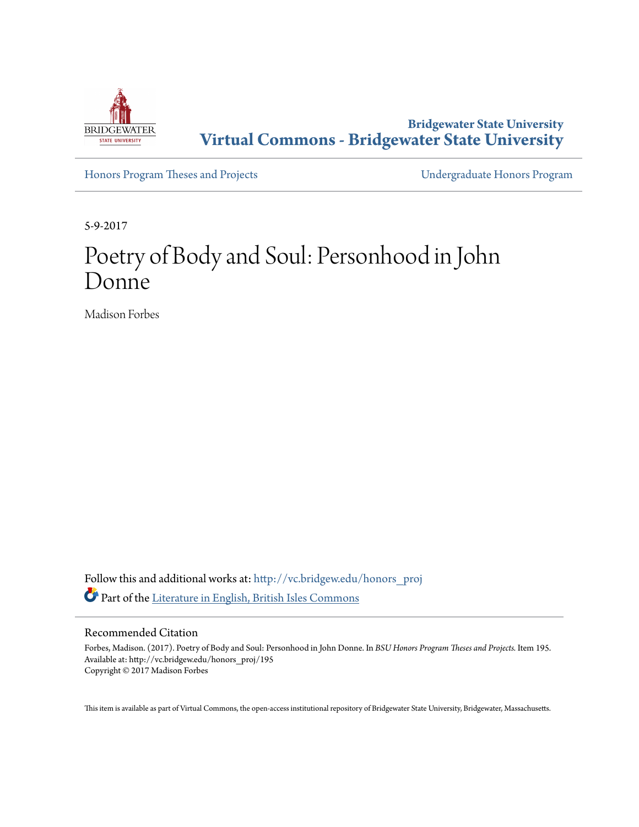

**Bridgewater State University [Virtual Commons - Bridgewater State University](http://vc.bridgew.edu?utm_source=vc.bridgew.edu%2Fhonors_proj%2F195&utm_medium=PDF&utm_campaign=PDFCoverPages)**

[Honors Program Theses and Projects](http://vc.bridgew.edu/honors_proj?utm_source=vc.bridgew.edu%2Fhonors_proj%2F195&utm_medium=PDF&utm_campaign=PDFCoverPages) [Undergraduate Honors Program](http://vc.bridgew.edu/honors?utm_source=vc.bridgew.edu%2Fhonors_proj%2F195&utm_medium=PDF&utm_campaign=PDFCoverPages)

5-9-2017

# Poetry of Body and Soul: Personhood in John Donne

Madison Forbes

Follow this and additional works at: [http://vc.bridgew.edu/honors\\_proj](http://vc.bridgew.edu/honors_proj?utm_source=vc.bridgew.edu%2Fhonors_proj%2F195&utm_medium=PDF&utm_campaign=PDFCoverPages) Part of the [Literature in English, British Isles Commons](http://network.bepress.com/hgg/discipline/456?utm_source=vc.bridgew.edu%2Fhonors_proj%2F195&utm_medium=PDF&utm_campaign=PDFCoverPages)

#### Recommended Citation

Forbes, Madison. (2017). Poetry of Body and Soul: Personhood in John Donne. In *BSU Honors Program Theses and Projects.* Item 195. Available at: http://vc.bridgew.edu/honors\_proj/195 Copyright © 2017 Madison Forbes

This item is available as part of Virtual Commons, the open-access institutional repository of Bridgewater State University, Bridgewater, Massachusetts.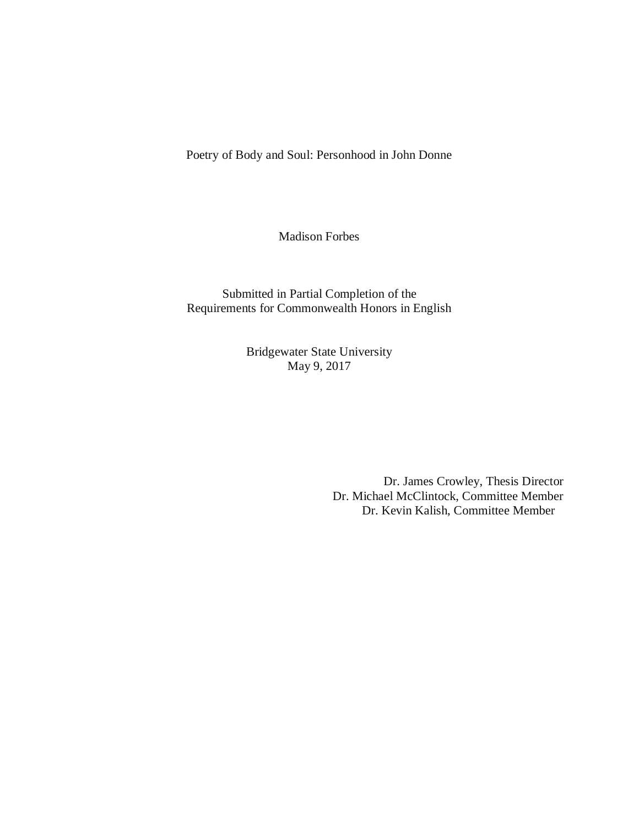Poetry of Body and Soul: Personhood in John Donne

Madison Forbes

Submitted in Partial Completion of the Requirements for Commonwealth Honors in English

> Bridgewater State University May 9, 2017

> > Dr. James Crowley, Thesis Director Dr. Michael McClintock, Committee Member Dr. Kevin Kalish, Committee Member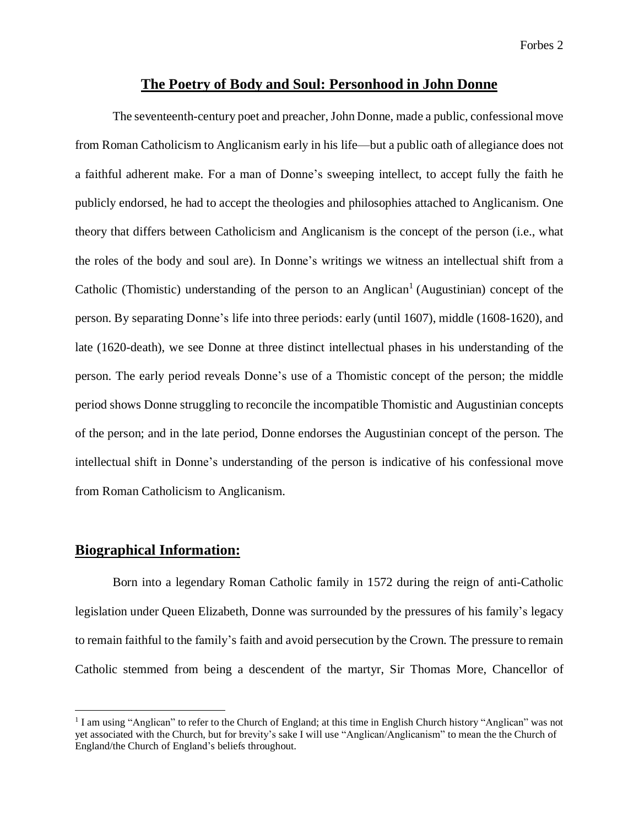#### **The Poetry of Body and Soul: Personhood in John Donne**

The seventeenth-century poet and preacher, John Donne, made a public, confessional move from Roman Catholicism to Anglicanism early in his life—but a public oath of allegiance does not a faithful adherent make. For a man of Donne's sweeping intellect, to accept fully the faith he publicly endorsed, he had to accept the theologies and philosophies attached to Anglicanism. One theory that differs between Catholicism and Anglicanism is the concept of the person (i.e., what the roles of the body and soul are). In Donne's writings we witness an intellectual shift from a Catholic (Thomistic) understanding of the person to an Anglican<sup>1</sup> (Augustinian) concept of the person. By separating Donne's life into three periods: early (until 1607), middle (1608-1620), and late (1620-death), we see Donne at three distinct intellectual phases in his understanding of the person. The early period reveals Donne's use of a Thomistic concept of the person; the middle period shows Donne struggling to reconcile the incompatible Thomistic and Augustinian concepts of the person; and in the late period, Donne endorses the Augustinian concept of the person. The intellectual shift in Donne's understanding of the person is indicative of his confessional move from Roman Catholicism to Anglicanism.

#### **Biographical Information:**

 $\overline{a}$ 

Born into a legendary Roman Catholic family in 1572 during the reign of anti-Catholic legislation under Queen Elizabeth, Donne was surrounded by the pressures of his family's legacy to remain faithful to the family's faith and avoid persecution by the Crown. The pressure to remain Catholic stemmed from being a descendent of the martyr, Sir Thomas More, Chancellor of

<sup>&</sup>lt;sup>1</sup> I am using "Anglican" to refer to the Church of England; at this time in English Church history "Anglican" was not yet associated with the Church, but for brevity's sake I will use "Anglican/Anglicanism" to mean the the Church of England/the Church of England's beliefs throughout.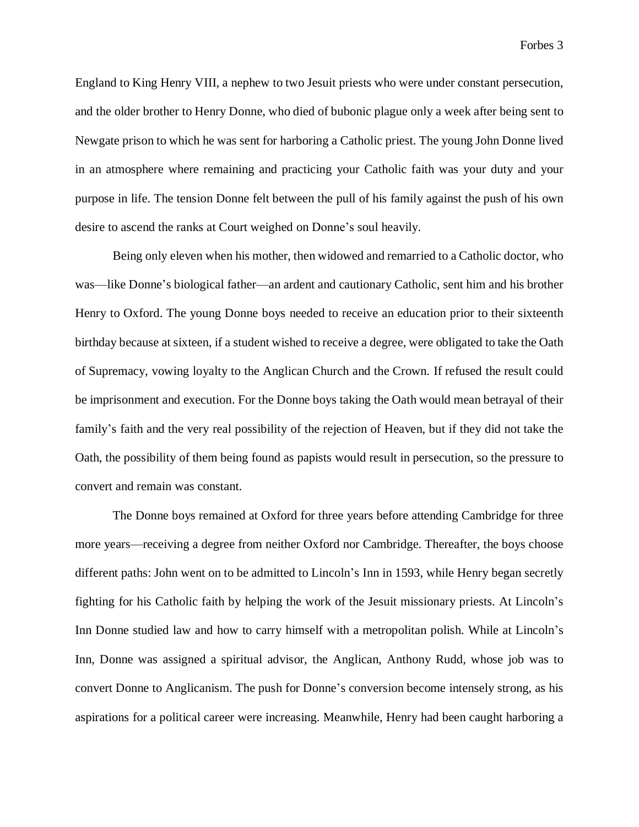England to King Henry VIII, a nephew to two Jesuit priests who were under constant persecution, and the older brother to Henry Donne, who died of bubonic plague only a week after being sent to Newgate prison to which he was sent for harboring a Catholic priest. The young John Donne lived in an atmosphere where remaining and practicing your Catholic faith was your duty and your purpose in life. The tension Donne felt between the pull of his family against the push of his own desire to ascend the ranks at Court weighed on Donne's soul heavily.

Being only eleven when his mother, then widowed and remarried to a Catholic doctor, who was—like Donne's biological father—an ardent and cautionary Catholic, sent him and his brother Henry to Oxford. The young Donne boys needed to receive an education prior to their sixteenth birthday because at sixteen, if a student wished to receive a degree, were obligated to take the Oath of Supremacy, vowing loyalty to the Anglican Church and the Crown. If refused the result could be imprisonment and execution. For the Donne boys taking the Oath would mean betrayal of their family's faith and the very real possibility of the rejection of Heaven, but if they did not take the Oath, the possibility of them being found as papists would result in persecution, so the pressure to convert and remain was constant.

The Donne boys remained at Oxford for three years before attending Cambridge for three more years—receiving a degree from neither Oxford nor Cambridge. Thereafter, the boys choose different paths: John went on to be admitted to Lincoln's Inn in 1593, while Henry began secretly fighting for his Catholic faith by helping the work of the Jesuit missionary priests. At Lincoln's Inn Donne studied law and how to carry himself with a metropolitan polish. While at Lincoln's Inn, Donne was assigned a spiritual advisor, the Anglican, Anthony Rudd, whose job was to convert Donne to Anglicanism. The push for Donne's conversion become intensely strong, as his aspirations for a political career were increasing. Meanwhile, Henry had been caught harboring a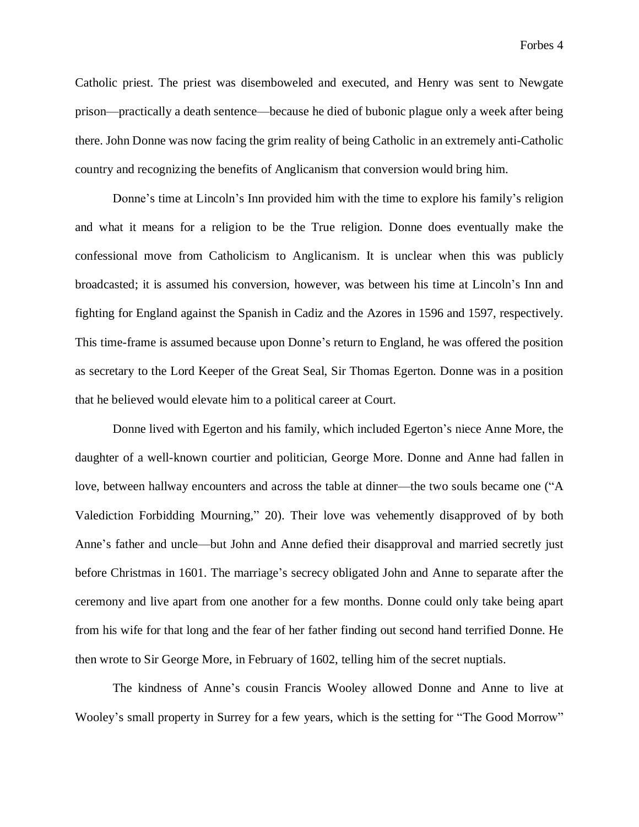Catholic priest. The priest was disemboweled and executed, and Henry was sent to Newgate prison—practically a death sentence—because he died of bubonic plague only a week after being there. John Donne was now facing the grim reality of being Catholic in an extremely anti-Catholic country and recognizing the benefits of Anglicanism that conversion would bring him.

Donne's time at Lincoln's Inn provided him with the time to explore his family's religion and what it means for a religion to be the True religion. Donne does eventually make the confessional move from Catholicism to Anglicanism. It is unclear when this was publicly broadcasted; it is assumed his conversion, however, was between his time at Lincoln's Inn and fighting for England against the Spanish in Cadiz and the Azores in 1596 and 1597, respectively. This time-frame is assumed because upon Donne's return to England, he was offered the position as secretary to the Lord Keeper of the Great Seal, Sir Thomas Egerton. Donne was in a position that he believed would elevate him to a political career at Court.

Donne lived with Egerton and his family, which included Egerton's niece Anne More, the daughter of a well-known courtier and politician, George More. Donne and Anne had fallen in love, between hallway encounters and across the table at dinner—the two souls became one ("A Valediction Forbidding Mourning," 20). Their love was vehemently disapproved of by both Anne's father and uncle—but John and Anne defied their disapproval and married secretly just before Christmas in 1601. The marriage's secrecy obligated John and Anne to separate after the ceremony and live apart from one another for a few months. Donne could only take being apart from his wife for that long and the fear of her father finding out second hand terrified Donne. He then wrote to Sir George More, in February of 1602, telling him of the secret nuptials.

The kindness of Anne's cousin Francis Wooley allowed Donne and Anne to live at Wooley's small property in Surrey for a few years, which is the setting for "The Good Morrow"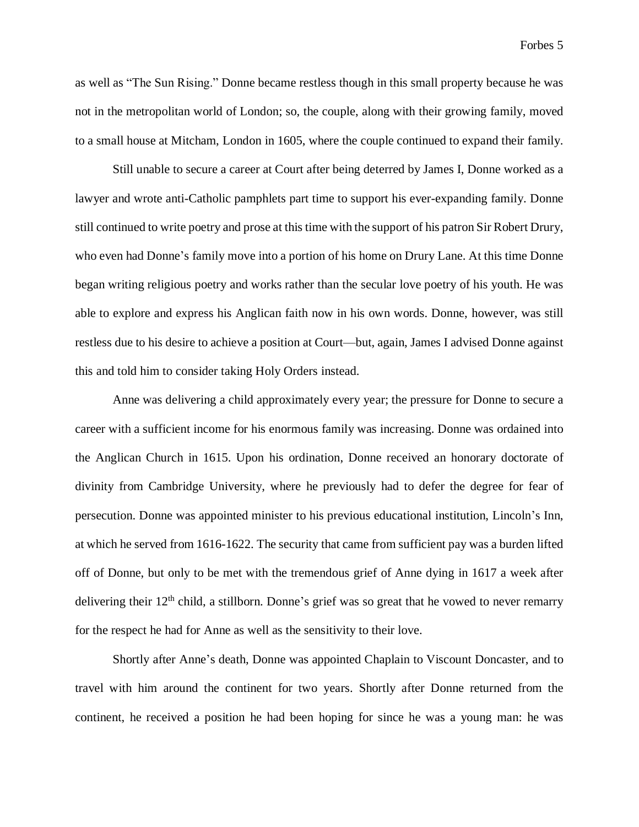as well as "The Sun Rising." Donne became restless though in this small property because he was not in the metropolitan world of London; so, the couple, along with their growing family, moved to a small house at Mitcham, London in 1605, where the couple continued to expand their family.

Still unable to secure a career at Court after being deterred by James I, Donne worked as a lawyer and wrote anti-Catholic pamphlets part time to support his ever-expanding family. Donne still continued to write poetry and prose at this time with the support of his patron Sir Robert Drury, who even had Donne's family move into a portion of his home on Drury Lane. At this time Donne began writing religious poetry and works rather than the secular love poetry of his youth. He was able to explore and express his Anglican faith now in his own words. Donne, however, was still restless due to his desire to achieve a position at Court—but, again, James I advised Donne against this and told him to consider taking Holy Orders instead.

Anne was delivering a child approximately every year; the pressure for Donne to secure a career with a sufficient income for his enormous family was increasing. Donne was ordained into the Anglican Church in 1615. Upon his ordination, Donne received an honorary doctorate of divinity from Cambridge University, where he previously had to defer the degree for fear of persecution. Donne was appointed minister to his previous educational institution, Lincoln's Inn, at which he served from 1616-1622. The security that came from sufficient pay was a burden lifted off of Donne, but only to be met with the tremendous grief of Anne dying in 1617 a week after delivering their  $12<sup>th</sup>$  child, a stillborn. Donne's grief was so great that he vowed to never remarry for the respect he had for Anne as well as the sensitivity to their love.

Shortly after Anne's death, Donne was appointed Chaplain to Viscount Doncaster, and to travel with him around the continent for two years. Shortly after Donne returned from the continent, he received a position he had been hoping for since he was a young man: he was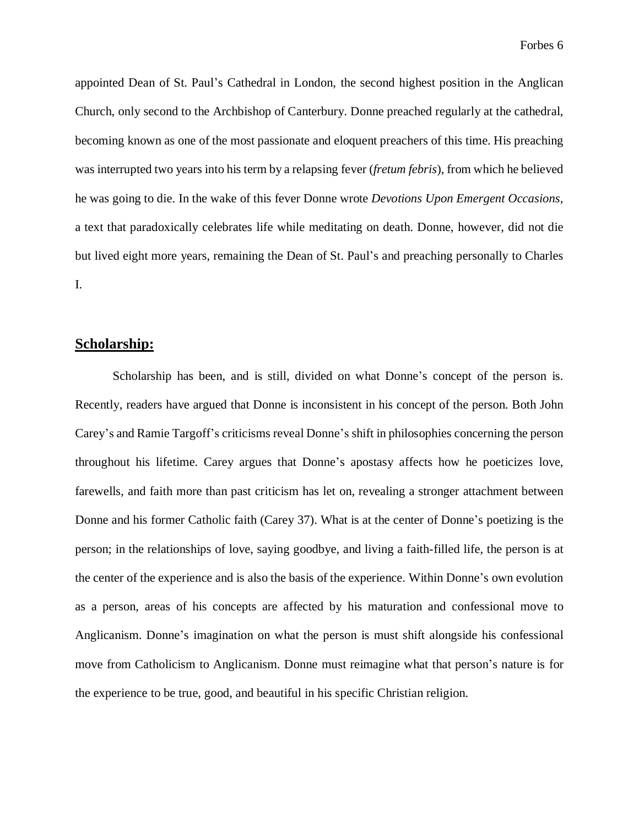Forbes 6

appointed Dean of St. Paul's Cathedral in London, the second highest position in the Anglican Church, only second to the Archbishop of Canterbury. Donne preached regularly at the cathedral, becoming known as one of the most passionate and eloquent preachers of this time. His preaching was interrupted two years into his term by a relapsing fever (*fretum febris*), from which he believed he was going to die. In the wake of this fever Donne wrote *Devotions Upon Emergent Occasions*, a text that paradoxically celebrates life while meditating on death. Donne, however, did not die but lived eight more years, remaining the Dean of St. Paul's and preaching personally to Charles I.

### **Scholarship:**

Scholarship has been, and is still, divided on what Donne's concept of the person is. Recently, readers have argued that Donne is inconsistent in his concept of the person. Both John Carey's and Ramie Targoff's criticisms reveal Donne's shift in philosophies concerning the person throughout his lifetime. Carey argues that Donne's apostasy affects how he poeticizes love, farewells, and faith more than past criticism has let on, revealing a stronger attachment between Donne and his former Catholic faith (Carey 37). What is at the center of Donne's poetizing is the person; in the relationships of love, saying goodbye, and living a faith-filled life, the person is at the center of the experience and is also the basis of the experience. Within Donne's own evolution as a person, areas of his concepts are affected by his maturation and confessional move to Anglicanism. Donne's imagination on what the person is must shift alongside his confessional move from Catholicism to Anglicanism. Donne must reimagine what that person's nature is for the experience to be true, good, and beautiful in his specific Christian religion.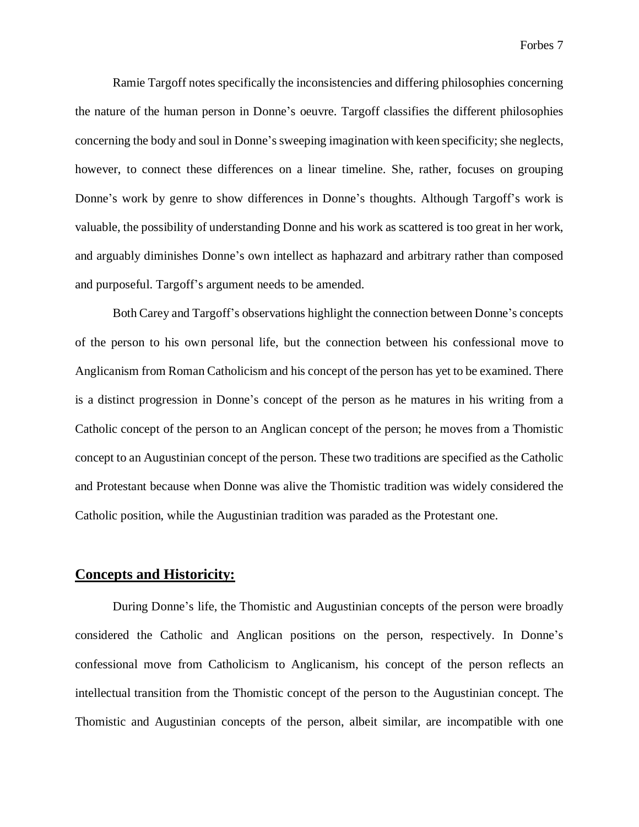Ramie Targoff notes specifically the inconsistencies and differing philosophies concerning the nature of the human person in Donne's oeuvre. Targoff classifies the different philosophies concerning the body and soul in Donne's sweeping imagination with keen specificity; she neglects, however, to connect these differences on a linear timeline. She, rather, focuses on grouping Donne's work by genre to show differences in Donne's thoughts. Although Targoff's work is valuable, the possibility of understanding Donne and his work as scattered is too great in her work, and arguably diminishes Donne's own intellect as haphazard and arbitrary rather than composed and purposeful. Targoff's argument needs to be amended.

Both Carey and Targoff's observations highlight the connection between Donne's concepts of the person to his own personal life, but the connection between his confessional move to Anglicanism from Roman Catholicism and his concept of the person has yet to be examined. There is a distinct progression in Donne's concept of the person as he matures in his writing from a Catholic concept of the person to an Anglican concept of the person; he moves from a Thomistic concept to an Augustinian concept of the person. These two traditions are specified as the Catholic and Protestant because when Donne was alive the Thomistic tradition was widely considered the Catholic position, while the Augustinian tradition was paraded as the Protestant one.

#### **Concepts and Historicity:**

During Donne's life, the Thomistic and Augustinian concepts of the person were broadly considered the Catholic and Anglican positions on the person, respectively. In Donne's confessional move from Catholicism to Anglicanism, his concept of the person reflects an intellectual transition from the Thomistic concept of the person to the Augustinian concept. The Thomistic and Augustinian concepts of the person, albeit similar, are incompatible with one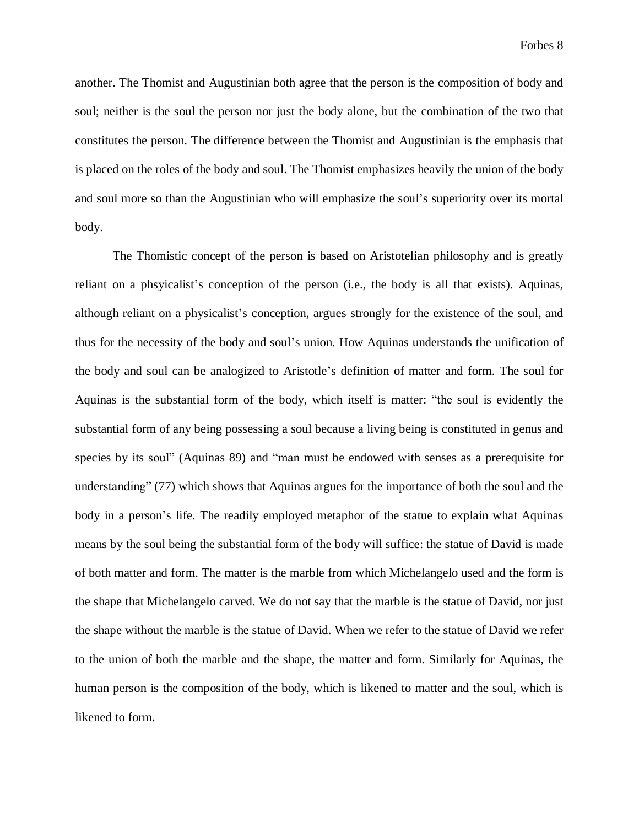another. The Thomist and Augustinian both agree that the person is the composition of body and soul; neither is the soul the person nor just the body alone, but the combination of the two that constitutes the person. The difference between the Thomist and Augustinian is the emphasis that is placed on the roles of the body and soul. The Thomist emphasizes heavily the union of the body and soul more so than the Augustinian who will emphasize the soul's superiority over its mortal body.

The Thomistic concept of the person is based on Aristotelian philosophy and is greatly reliant on a phsyicalist's conception of the person (i.e., the body is all that exists). Aquinas, although reliant on a physicalist's conception, argues strongly for the existence of the soul, and thus for the necessity of the body and soul's union. How Aquinas understands the unification of the body and soul can be analogized to Aristotle's definition of matter and form. The soul for Aquinas is the substantial form of the body, which itself is matter: "the soul is evidently the substantial form of any being possessing a soul because a living being is constituted in genus and species by its soul" (Aquinas 89) and "man must be endowed with senses as a prerequisite for understanding" (77) which shows that Aquinas argues for the importance of both the soul and the body in a person's life. The readily employed metaphor of the statue to explain what Aquinas means by the soul being the substantial form of the body will suffice: the statue of David is made of both matter and form. The matter is the marble from which Michelangelo used and the form is the shape that Michelangelo carved. We do not say that the marble is the statue of David, nor just the shape without the marble is the statue of David. When we refer to the statue of David we refer to the union of both the marble and the shape, the matter and form. Similarly for Aquinas, the human person is the composition of the body, which is likened to matter and the soul, which is likened to form.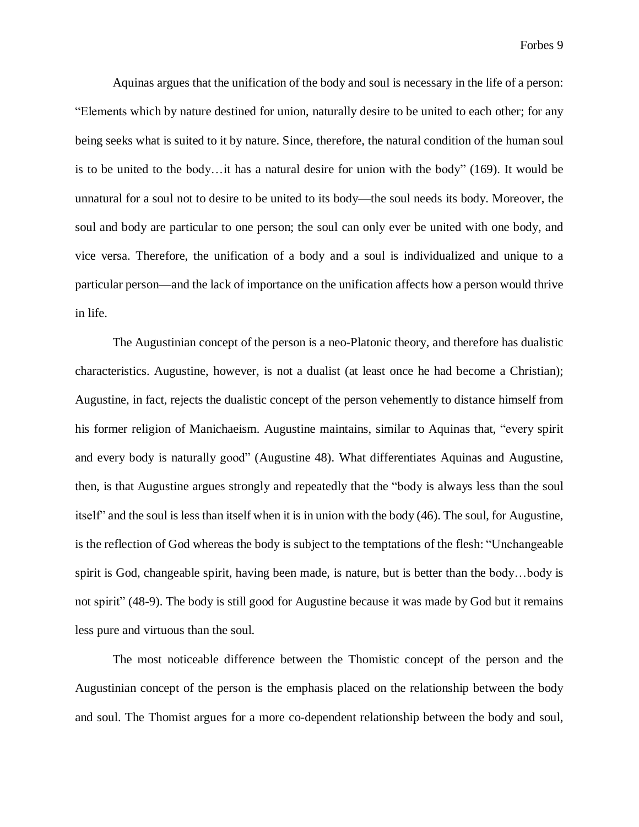Aquinas argues that the unification of the body and soul is necessary in the life of a person: "Elements which by nature destined for union, naturally desire to be united to each other; for any being seeks what is suited to it by nature. Since, therefore, the natural condition of the human soul is to be united to the body…it has a natural desire for union with the body" (169). It would be unnatural for a soul not to desire to be united to its body—the soul needs its body. Moreover, the soul and body are particular to one person; the soul can only ever be united with one body, and vice versa. Therefore, the unification of a body and a soul is individualized and unique to a particular person—and the lack of importance on the unification affects how a person would thrive in life.

The Augustinian concept of the person is a neo-Platonic theory, and therefore has dualistic characteristics. Augustine, however, is not a dualist (at least once he had become a Christian); Augustine, in fact, rejects the dualistic concept of the person vehemently to distance himself from his former religion of Manichaeism. Augustine maintains, similar to Aquinas that, "every spirit and every body is naturally good" (Augustine 48). What differentiates Aquinas and Augustine, then, is that Augustine argues strongly and repeatedly that the "body is always less than the soul itself" and the soul is less than itself when it is in union with the body (46). The soul, for Augustine, is the reflection of God whereas the body is subject to the temptations of the flesh: "Unchangeable spirit is God, changeable spirit, having been made, is nature, but is better than the body…body is not spirit" (48-9). The body is still good for Augustine because it was made by God but it remains less pure and virtuous than the soul.

The most noticeable difference between the Thomistic concept of the person and the Augustinian concept of the person is the emphasis placed on the relationship between the body and soul. The Thomist argues for a more co-dependent relationship between the body and soul,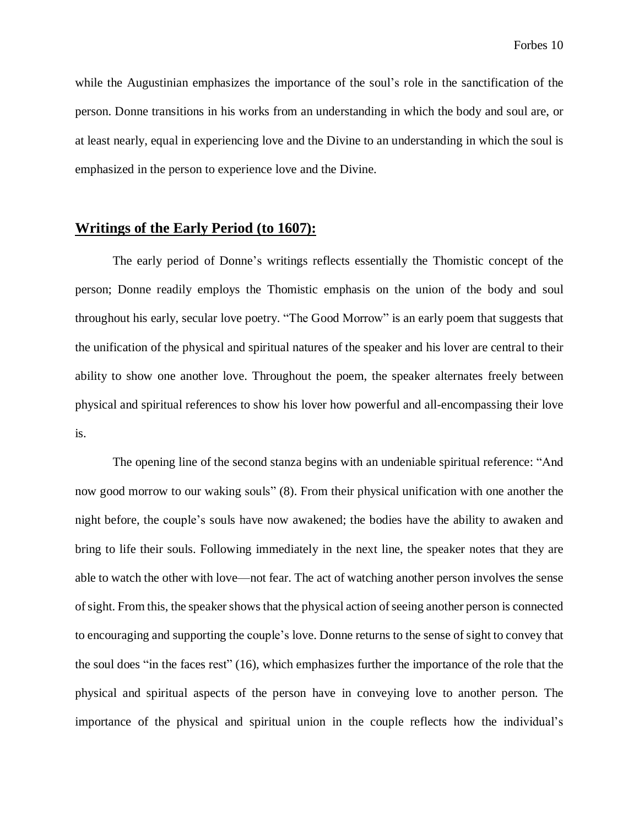while the Augustinian emphasizes the importance of the soul's role in the sanctification of the person. Donne transitions in his works from an understanding in which the body and soul are, or at least nearly, equal in experiencing love and the Divine to an understanding in which the soul is emphasized in the person to experience love and the Divine.

#### **Writings of the Early Period (to 1607):**

The early period of Donne's writings reflects essentially the Thomistic concept of the person; Donne readily employs the Thomistic emphasis on the union of the body and soul throughout his early, secular love poetry. "The Good Morrow" is an early poem that suggests that the unification of the physical and spiritual natures of the speaker and his lover are central to their ability to show one another love. Throughout the poem, the speaker alternates freely between physical and spiritual references to show his lover how powerful and all-encompassing their love is.

The opening line of the second stanza begins with an undeniable spiritual reference: "And now good morrow to our waking souls" (8). From their physical unification with one another the night before, the couple's souls have now awakened; the bodies have the ability to awaken and bring to life their souls. Following immediately in the next line, the speaker notes that they are able to watch the other with love—not fear. The act of watching another person involves the sense of sight. From this, the speaker shows that the physical action of seeing another person is connected to encouraging and supporting the couple's love. Donne returns to the sense ofsight to convey that the soul does "in the faces rest" (16), which emphasizes further the importance of the role that the physical and spiritual aspects of the person have in conveying love to another person. The importance of the physical and spiritual union in the couple reflects how the individual's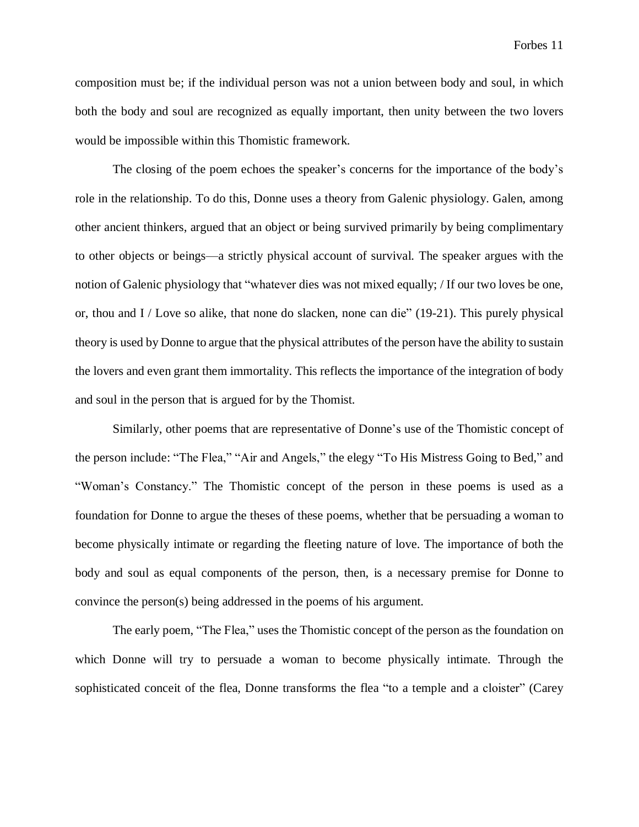composition must be; if the individual person was not a union between body and soul, in which both the body and soul are recognized as equally important, then unity between the two lovers would be impossible within this Thomistic framework.

The closing of the poem echoes the speaker's concerns for the importance of the body's role in the relationship. To do this, Donne uses a theory from Galenic physiology. Galen, among other ancient thinkers, argued that an object or being survived primarily by being complimentary to other objects or beings—a strictly physical account of survival. The speaker argues with the notion of Galenic physiology that "whatever dies was not mixed equally; / If our two loves be one, or, thou and I / Love so alike, that none do slacken, none can die" (19-21). This purely physical theory is used by Donne to argue that the physical attributes of the person have the ability to sustain the lovers and even grant them immortality. This reflects the importance of the integration of body and soul in the person that is argued for by the Thomist.

Similarly, other poems that are representative of Donne's use of the Thomistic concept of the person include: "The Flea," "Air and Angels," the elegy "To His Mistress Going to Bed," and "Woman's Constancy." The Thomistic concept of the person in these poems is used as a foundation for Donne to argue the theses of these poems, whether that be persuading a woman to become physically intimate or regarding the fleeting nature of love. The importance of both the body and soul as equal components of the person, then, is a necessary premise for Donne to convince the person(s) being addressed in the poems of his argument.

The early poem, "The Flea," uses the Thomistic concept of the person as the foundation on which Donne will try to persuade a woman to become physically intimate. Through the sophisticated conceit of the flea, Donne transforms the flea "to a temple and a cloister" (Carey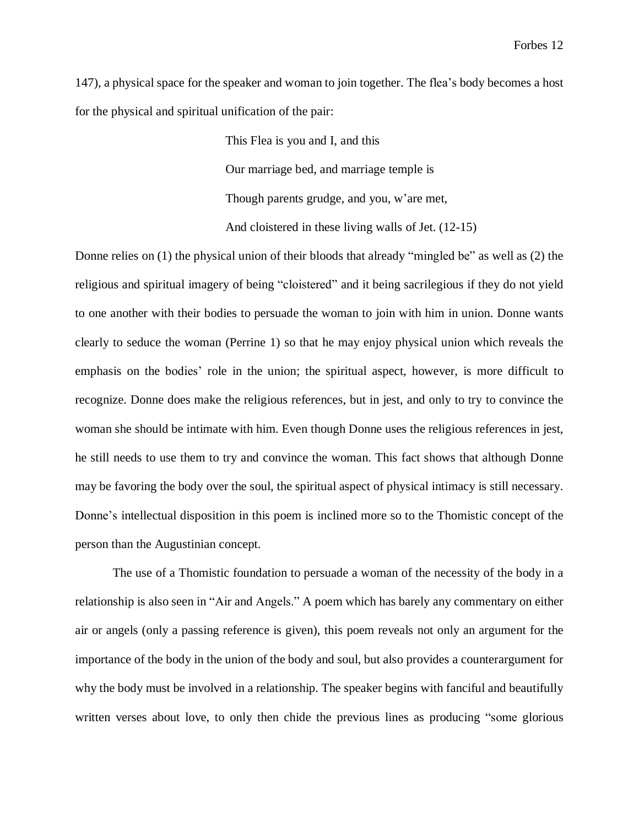147), a physical space for the speaker and woman to join together. The flea's body becomes a host for the physical and spiritual unification of the pair:

> This Flea is you and I, and this Our marriage bed, and marriage temple is Though parents grudge, and you, w'are met, And cloistered in these living walls of Jet. (12-15)

Donne relies on (1) the physical union of their bloods that already "mingled be" as well as (2) the religious and spiritual imagery of being "cloistered" and it being sacrilegious if they do not yield to one another with their bodies to persuade the woman to join with him in union. Donne wants clearly to seduce the woman (Perrine 1) so that he may enjoy physical union which reveals the emphasis on the bodies' role in the union; the spiritual aspect, however, is more difficult to recognize. Donne does make the religious references, but in jest, and only to try to convince the woman she should be intimate with him. Even though Donne uses the religious references in jest, he still needs to use them to try and convince the woman. This fact shows that although Donne may be favoring the body over the soul, the spiritual aspect of physical intimacy is still necessary. Donne's intellectual disposition in this poem is inclined more so to the Thomistic concept of the person than the Augustinian concept.

The use of a Thomistic foundation to persuade a woman of the necessity of the body in a relationship is also seen in "Air and Angels." A poem which has barely any commentary on either air or angels (only a passing reference is given), this poem reveals not only an argument for the importance of the body in the union of the body and soul, but also provides a counterargument for why the body must be involved in a relationship. The speaker begins with fanciful and beautifully written verses about love, to only then chide the previous lines as producing "some glorious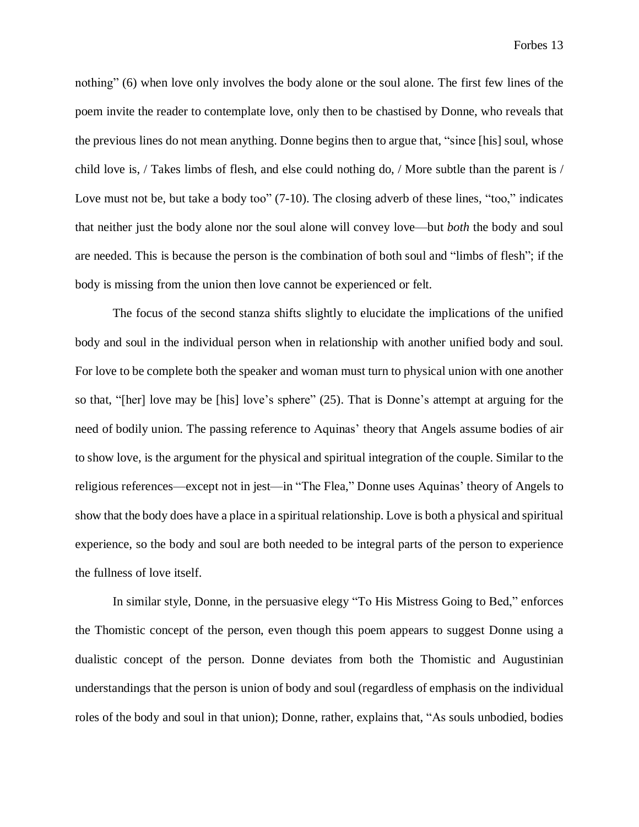nothing" (6) when love only involves the body alone or the soul alone. The first few lines of the poem invite the reader to contemplate love, only then to be chastised by Donne, who reveals that the previous lines do not mean anything. Donne begins then to argue that, "since [his] soul, whose child love is, / Takes limbs of flesh, and else could nothing do, / More subtle than the parent is / Love must not be, but take a body too" (7-10). The closing adverb of these lines, "too," indicates that neither just the body alone nor the soul alone will convey love—but *both* the body and soul are needed. This is because the person is the combination of both soul and "limbs of flesh"; if the body is missing from the union then love cannot be experienced or felt.

The focus of the second stanza shifts slightly to elucidate the implications of the unified body and soul in the individual person when in relationship with another unified body and soul. For love to be complete both the speaker and woman must turn to physical union with one another so that, "[her] love may be [his] love's sphere" (25). That is Donne's attempt at arguing for the need of bodily union. The passing reference to Aquinas' theory that Angels assume bodies of air to show love, is the argument for the physical and spiritual integration of the couple. Similar to the religious references—except not in jest—in "The Flea," Donne uses Aquinas' theory of Angels to show that the body does have a place in a spiritual relationship. Love is both a physical and spiritual experience, so the body and soul are both needed to be integral parts of the person to experience the fullness of love itself.

In similar style, Donne, in the persuasive elegy "To His Mistress Going to Bed," enforces the Thomistic concept of the person, even though this poem appears to suggest Donne using a dualistic concept of the person. Donne deviates from both the Thomistic and Augustinian understandings that the person is union of body and soul (regardless of emphasis on the individual roles of the body and soul in that union); Donne, rather, explains that, "As souls unbodied, bodies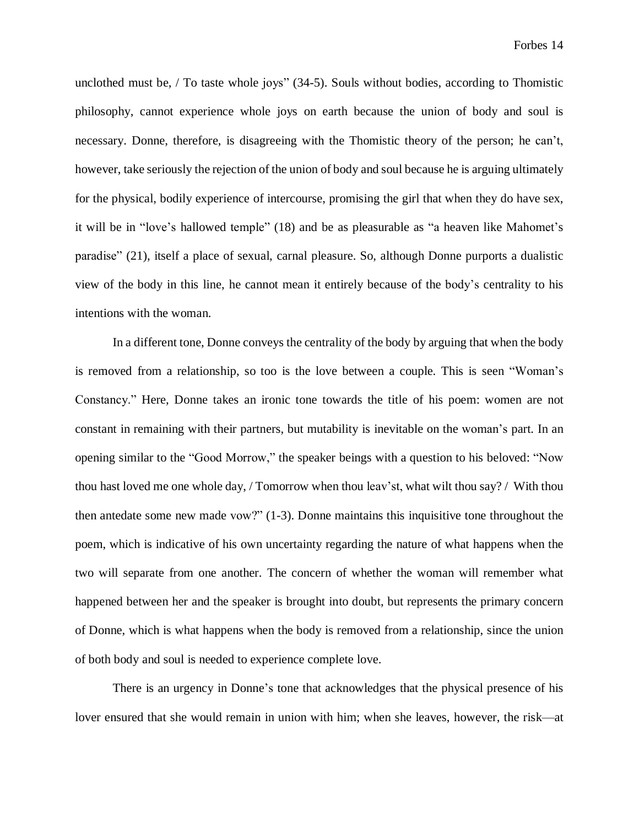unclothed must be, / To taste whole joys" (34-5). Souls without bodies, according to Thomistic philosophy, cannot experience whole joys on earth because the union of body and soul is necessary. Donne, therefore, is disagreeing with the Thomistic theory of the person; he can't, however, take seriously the rejection of the union of body and soul because he is arguing ultimately for the physical, bodily experience of intercourse, promising the girl that when they do have sex, it will be in "love's hallowed temple" (18) and be as pleasurable as "a heaven like Mahomet's paradise" (21), itself a place of sexual, carnal pleasure. So, although Donne purports a dualistic view of the body in this line, he cannot mean it entirely because of the body's centrality to his intentions with the woman.

In a different tone, Donne conveys the centrality of the body by arguing that when the body is removed from a relationship, so too is the love between a couple. This is seen "Woman's Constancy." Here, Donne takes an ironic tone towards the title of his poem: women are not constant in remaining with their partners, but mutability is inevitable on the woman's part. In an opening similar to the "Good Morrow," the speaker beings with a question to his beloved: "Now thou hast loved me one whole day, / Tomorrow when thou leav'st, what wilt thou say? / With thou then antedate some new made vow?" (1-3). Donne maintains this inquisitive tone throughout the poem, which is indicative of his own uncertainty regarding the nature of what happens when the two will separate from one another. The concern of whether the woman will remember what happened between her and the speaker is brought into doubt, but represents the primary concern of Donne, which is what happens when the body is removed from a relationship, since the union of both body and soul is needed to experience complete love.

There is an urgency in Donne's tone that acknowledges that the physical presence of his lover ensured that she would remain in union with him; when she leaves, however, the risk—at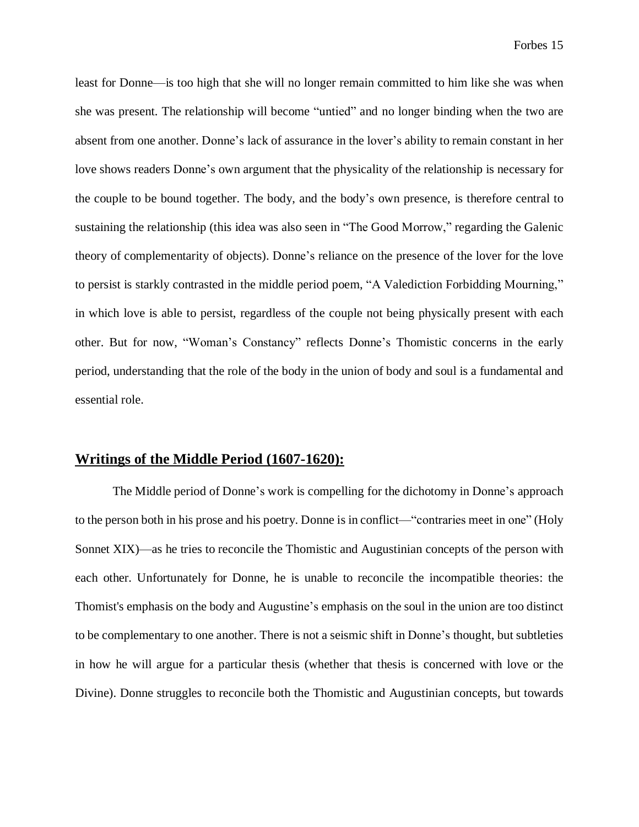least for Donne—is too high that she will no longer remain committed to him like she was when she was present. The relationship will become "untied" and no longer binding when the two are absent from one another. Donne's lack of assurance in the lover's ability to remain constant in her love shows readers Donne's own argument that the physicality of the relationship is necessary for the couple to be bound together. The body, and the body's own presence, is therefore central to sustaining the relationship (this idea was also seen in "The Good Morrow," regarding the Galenic theory of complementarity of objects). Donne's reliance on the presence of the lover for the love to persist is starkly contrasted in the middle period poem, "A Valediction Forbidding Mourning," in which love is able to persist, regardless of the couple not being physically present with each other. But for now, "Woman's Constancy" reflects Donne's Thomistic concerns in the early period, understanding that the role of the body in the union of body and soul is a fundamental and essential role.

## **Writings of the Middle Period (1607-1620):**

The Middle period of Donne's work is compelling for the dichotomy in Donne's approach to the person both in his prose and his poetry. Donne is in conflict—"contraries meet in one" (Holy Sonnet XIX)—as he tries to reconcile the Thomistic and Augustinian concepts of the person with each other. Unfortunately for Donne, he is unable to reconcile the incompatible theories: the Thomist's emphasis on the body and Augustine's emphasis on the soul in the union are too distinct to be complementary to one another. There is not a seismic shift in Donne's thought, but subtleties in how he will argue for a particular thesis (whether that thesis is concerned with love or the Divine). Donne struggles to reconcile both the Thomistic and Augustinian concepts, but towards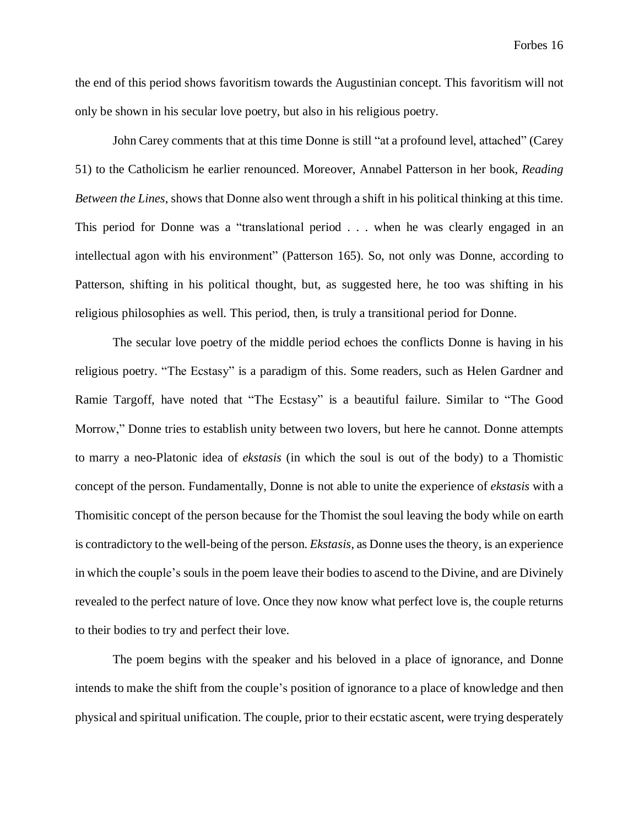the end of this period shows favoritism towards the Augustinian concept. This favoritism will not only be shown in his secular love poetry, but also in his religious poetry.

John Carey comments that at this time Donne is still "at a profound level, attached" (Carey 51) to the Catholicism he earlier renounced. Moreover, Annabel Patterson in her book, *Reading Between the Lines*, shows that Donne also went through a shift in his political thinking at this time. This period for Donne was a "translational period . . . when he was clearly engaged in an intellectual agon with his environment" (Patterson 165). So, not only was Donne, according to Patterson, shifting in his political thought, but, as suggested here, he too was shifting in his religious philosophies as well. This period, then, is truly a transitional period for Donne.

The secular love poetry of the middle period echoes the conflicts Donne is having in his religious poetry. "The Ecstasy" is a paradigm of this. Some readers, such as Helen Gardner and Ramie Targoff, have noted that "The Ecstasy" is a beautiful failure. Similar to "The Good Morrow," Donne tries to establish unity between two lovers, but here he cannot. Donne attempts to marry a neo-Platonic idea of *ekstasis* (in which the soul is out of the body) to a Thomistic concept of the person. Fundamentally, Donne is not able to unite the experience of *ekstasis* with a Thomisitic concept of the person because for the Thomist the soul leaving the body while on earth is contradictory to the well-being of the person. *Ekstasis*, as Donne uses the theory, is an experience in which the couple's souls in the poem leave their bodies to ascend to the Divine, and are Divinely revealed to the perfect nature of love. Once they now know what perfect love is, the couple returns to their bodies to try and perfect their love.

The poem begins with the speaker and his beloved in a place of ignorance, and Donne intends to make the shift from the couple's position of ignorance to a place of knowledge and then physical and spiritual unification. The couple, prior to their ecstatic ascent, were trying desperately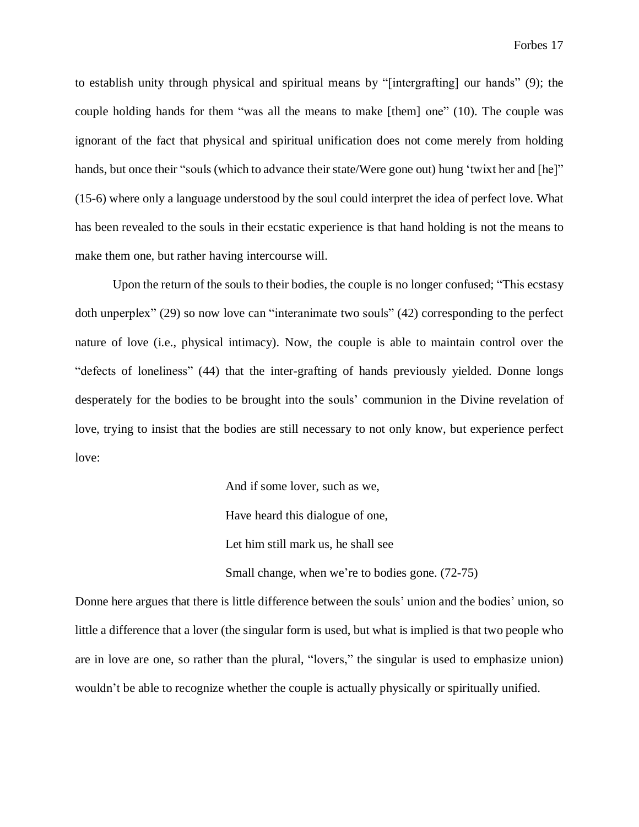to establish unity through physical and spiritual means by "[intergrafting] our hands" (9); the couple holding hands for them "was all the means to make [them] one" (10). The couple was ignorant of the fact that physical and spiritual unification does not come merely from holding hands, but once their "souls (which to advance their state/Were gone out) hung 'twixt her and [he]" (15-6) where only a language understood by the soul could interpret the idea of perfect love. What has been revealed to the souls in their ecstatic experience is that hand holding is not the means to make them one, but rather having intercourse will.

Upon the return of the souls to their bodies, the couple is no longer confused; "This ecstasy doth unperplex" (29) so now love can "interanimate two souls" (42) corresponding to the perfect nature of love (i.e., physical intimacy). Now, the couple is able to maintain control over the "defects of loneliness" (44) that the inter-grafting of hands previously yielded. Donne longs desperately for the bodies to be brought into the souls' communion in the Divine revelation of love, trying to insist that the bodies are still necessary to not only know, but experience perfect love:

> And if some lover, such as we, Have heard this dialogue of one, Let him still mark us, he shall see Small change, when we're to bodies gone. (72-75)

Donne here argues that there is little difference between the souls' union and the bodies' union, so little a difference that a lover (the singular form is used, but what is implied is that two people who are in love are one, so rather than the plural, "lovers," the singular is used to emphasize union) wouldn't be able to recognize whether the couple is actually physically or spiritually unified.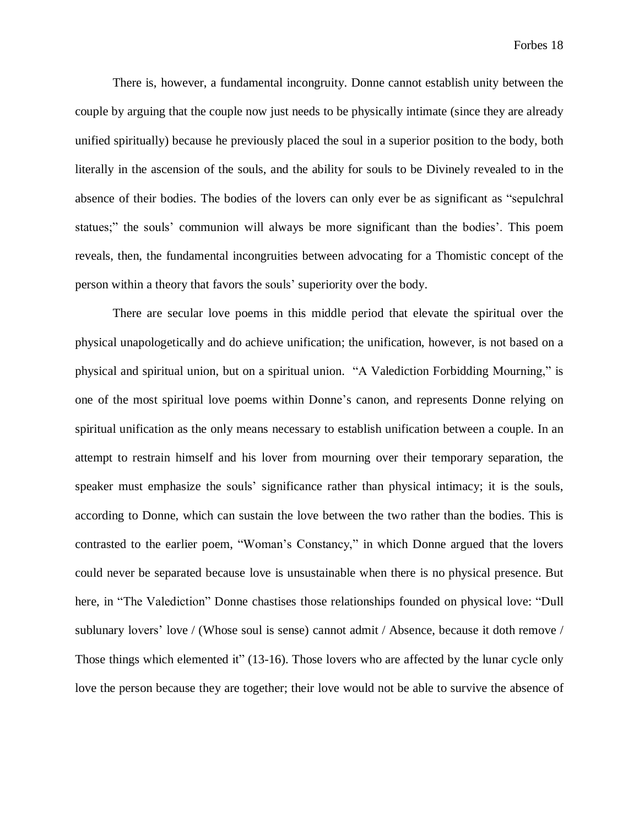There is, however, a fundamental incongruity. Donne cannot establish unity between the couple by arguing that the couple now just needs to be physically intimate (since they are already unified spiritually) because he previously placed the soul in a superior position to the body, both literally in the ascension of the souls, and the ability for souls to be Divinely revealed to in the absence of their bodies. The bodies of the lovers can only ever be as significant as "sepulchral statues;" the souls' communion will always be more significant than the bodies'. This poem reveals, then, the fundamental incongruities between advocating for a Thomistic concept of the person within a theory that favors the souls' superiority over the body.

There are secular love poems in this middle period that elevate the spiritual over the physical unapologetically and do achieve unification; the unification, however, is not based on a physical and spiritual union, but on a spiritual union. "A Valediction Forbidding Mourning," is one of the most spiritual love poems within Donne's canon, and represents Donne relying on spiritual unification as the only means necessary to establish unification between a couple. In an attempt to restrain himself and his lover from mourning over their temporary separation, the speaker must emphasize the souls' significance rather than physical intimacy; it is the souls, according to Donne, which can sustain the love between the two rather than the bodies. This is contrasted to the earlier poem, "Woman's Constancy," in which Donne argued that the lovers could never be separated because love is unsustainable when there is no physical presence. But here, in "The Valediction" Donne chastises those relationships founded on physical love: "Dull sublunary lovers' love / (Whose soul is sense) cannot admit / Absence, because it doth remove / Those things which elemented it" (13-16). Those lovers who are affected by the lunar cycle only love the person because they are together; their love would not be able to survive the absence of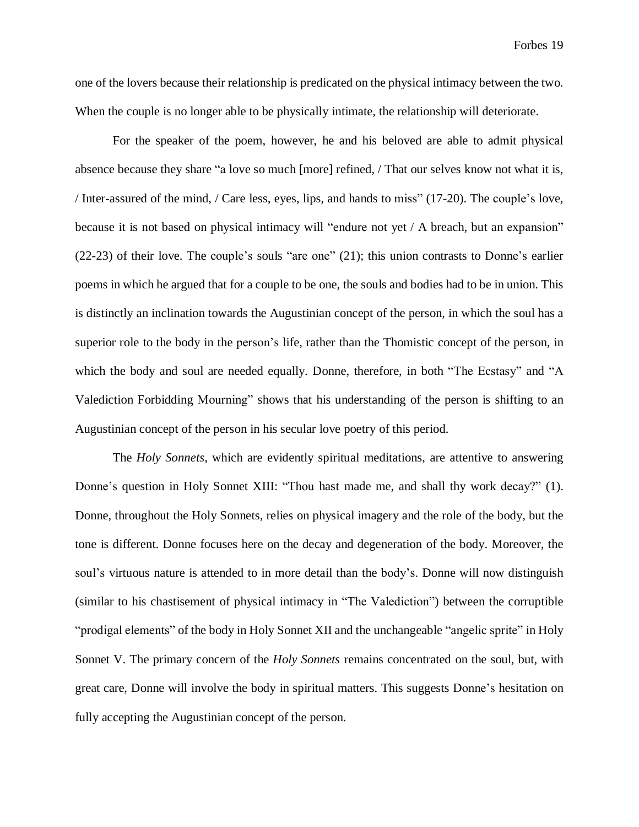one of the lovers because their relationship is predicated on the physical intimacy between the two. When the couple is no longer able to be physically intimate, the relationship will deteriorate.

For the speaker of the poem, however, he and his beloved are able to admit physical absence because they share "a love so much [more] refined, / That our selves know not what it is, / Inter-assured of the mind, / Care less, eyes, lips, and hands to miss" (17-20). The couple's love, because it is not based on physical intimacy will "endure not yet / A breach, but an expansion" (22-23) of their love. The couple's souls "are one" (21); this union contrasts to Donne's earlier poems in which he argued that for a couple to be one, the souls and bodies had to be in union. This is distinctly an inclination towards the Augustinian concept of the person, in which the soul has a superior role to the body in the person's life, rather than the Thomistic concept of the person, in which the body and soul are needed equally. Donne, therefore, in both "The Ecstasy" and "A Valediction Forbidding Mourning" shows that his understanding of the person is shifting to an Augustinian concept of the person in his secular love poetry of this period.

The *Holy Sonnets*, which are evidently spiritual meditations, are attentive to answering Donne's question in Holy Sonnet XIII: "Thou hast made me, and shall thy work decay?" (1). Donne, throughout the Holy Sonnets, relies on physical imagery and the role of the body, but the tone is different. Donne focuses here on the decay and degeneration of the body. Moreover, the soul's virtuous nature is attended to in more detail than the body's. Donne will now distinguish (similar to his chastisement of physical intimacy in "The Valediction") between the corruptible "prodigal elements" of the body in Holy Sonnet XII and the unchangeable "angelic sprite" in Holy Sonnet V. The primary concern of the *Holy Sonnets* remains concentrated on the soul, but, with great care, Donne will involve the body in spiritual matters. This suggests Donne's hesitation on fully accepting the Augustinian concept of the person.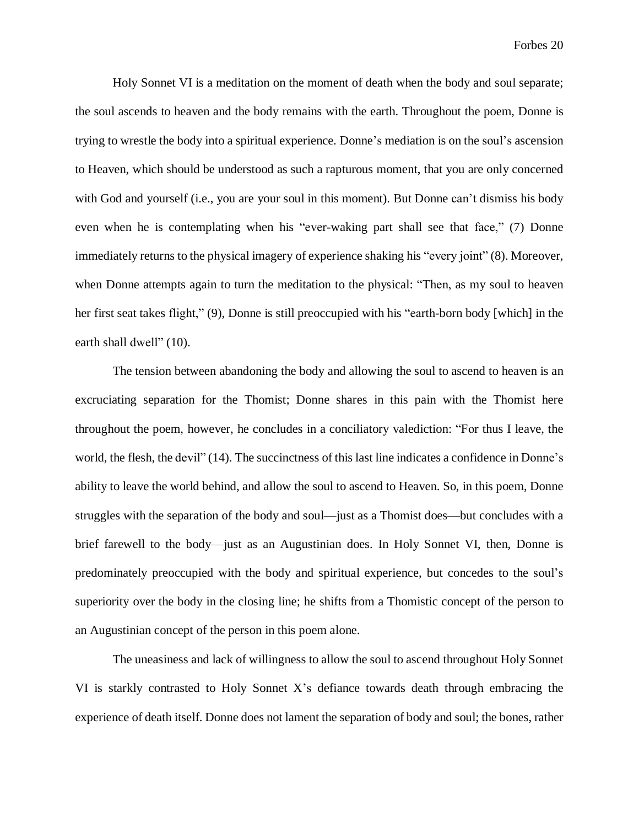Holy Sonnet VI is a meditation on the moment of death when the body and soul separate; the soul ascends to heaven and the body remains with the earth. Throughout the poem, Donne is trying to wrestle the body into a spiritual experience. Donne's mediation is on the soul's ascension to Heaven, which should be understood as such a rapturous moment, that you are only concerned with God and yourself (i.e., you are your soul in this moment). But Donne can't dismiss his body even when he is contemplating when his "ever-waking part shall see that face," (7) Donne immediately returns to the physical imagery of experience shaking his "every joint" (8). Moreover, when Donne attempts again to turn the meditation to the physical: "Then, as my soul to heaven her first seat takes flight," (9), Donne is still preoccupied with his "earth-born body [which] in the earth shall dwell" (10).

The tension between abandoning the body and allowing the soul to ascend to heaven is an excruciating separation for the Thomist; Donne shares in this pain with the Thomist here throughout the poem, however, he concludes in a conciliatory valediction: "For thus I leave, the world, the flesh, the devil" (14). The succinctness of this last line indicates a confidence in Donne's ability to leave the world behind, and allow the soul to ascend to Heaven. So, in this poem, Donne struggles with the separation of the body and soul—just as a Thomist does—but concludes with a brief farewell to the body—just as an Augustinian does. In Holy Sonnet VI, then, Donne is predominately preoccupied with the body and spiritual experience, but concedes to the soul's superiority over the body in the closing line; he shifts from a Thomistic concept of the person to an Augustinian concept of the person in this poem alone.

The uneasiness and lack of willingness to allow the soul to ascend throughout Holy Sonnet VI is starkly contrasted to Holy Sonnet X's defiance towards death through embracing the experience of death itself. Donne does not lament the separation of body and soul; the bones, rather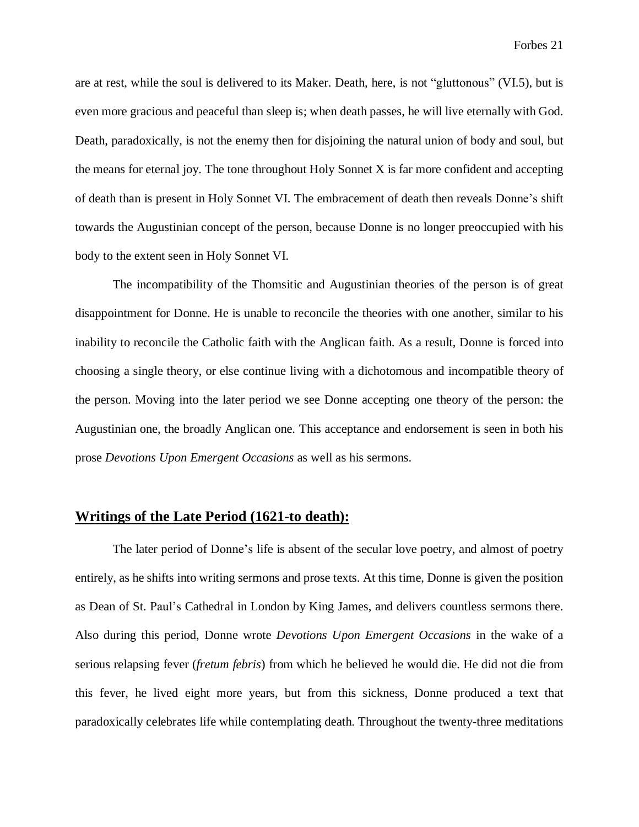are at rest, while the soul is delivered to its Maker. Death, here, is not "gluttonous" (VI.5), but is even more gracious and peaceful than sleep is; when death passes, he will live eternally with God. Death, paradoxically, is not the enemy then for disjoining the natural union of body and soul, but the means for eternal joy. The tone throughout Holy Sonnet X is far more confident and accepting of death than is present in Holy Sonnet VI. The embracement of death then reveals Donne's shift towards the Augustinian concept of the person, because Donne is no longer preoccupied with his body to the extent seen in Holy Sonnet VI.

The incompatibility of the Thomsitic and Augustinian theories of the person is of great disappointment for Donne. He is unable to reconcile the theories with one another, similar to his inability to reconcile the Catholic faith with the Anglican faith. As a result, Donne is forced into choosing a single theory, or else continue living with a dichotomous and incompatible theory of the person. Moving into the later period we see Donne accepting one theory of the person: the Augustinian one, the broadly Anglican one. This acceptance and endorsement is seen in both his prose *Devotions Upon Emergent Occasions* as well as his sermons.

### **Writings of the Late Period (1621-to death):**

The later period of Donne's life is absent of the secular love poetry, and almost of poetry entirely, as he shifts into writing sermons and prose texts. At this time, Donne is given the position as Dean of St. Paul's Cathedral in London by King James, and delivers countless sermons there. Also during this period, Donne wrote *Devotions Upon Emergent Occasions* in the wake of a serious relapsing fever (*fretum febris*) from which he believed he would die. He did not die from this fever, he lived eight more years, but from this sickness, Donne produced a text that paradoxically celebrates life while contemplating death. Throughout the twenty-three meditations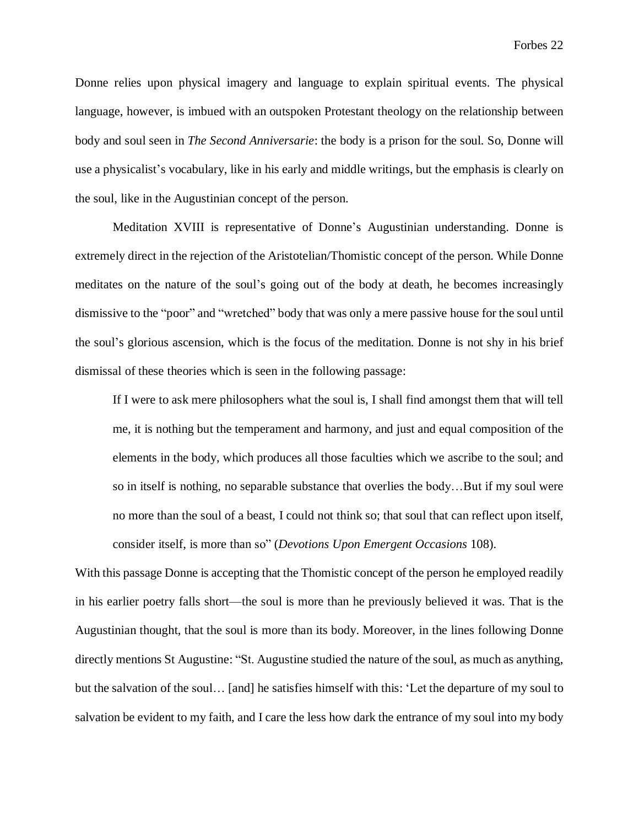Donne relies upon physical imagery and language to explain spiritual events. The physical language, however, is imbued with an outspoken Protestant theology on the relationship between body and soul seen in *The Second Anniversarie*: the body is a prison for the soul. So, Donne will use a physicalist's vocabulary, like in his early and middle writings, but the emphasis is clearly on the soul, like in the Augustinian concept of the person.

Meditation XVIII is representative of Donne's Augustinian understanding. Donne is extremely direct in the rejection of the Aristotelian/Thomistic concept of the person. While Donne meditates on the nature of the soul's going out of the body at death, he becomes increasingly dismissive to the "poor" and "wretched" body that was only a mere passive house for the soul until the soul's glorious ascension, which is the focus of the meditation. Donne is not shy in his brief dismissal of these theories which is seen in the following passage:

If I were to ask mere philosophers what the soul is, I shall find amongst them that will tell me, it is nothing but the temperament and harmony, and just and equal composition of the elements in the body, which produces all those faculties which we ascribe to the soul; and so in itself is nothing, no separable substance that overlies the body…But if my soul were no more than the soul of a beast, I could not think so; that soul that can reflect upon itself, consider itself, is more than so" (*Devotions Upon Emergent Occasions* 108).

With this passage Donne is accepting that the Thomistic concept of the person he employed readily in his earlier poetry falls short—the soul is more than he previously believed it was. That is the Augustinian thought, that the soul is more than its body. Moreover, in the lines following Donne directly mentions St Augustine: "St. Augustine studied the nature of the soul, as much as anything, but the salvation of the soul… [and] he satisfies himself with this: 'Let the departure of my soul to salvation be evident to my faith, and I care the less how dark the entrance of my soul into my body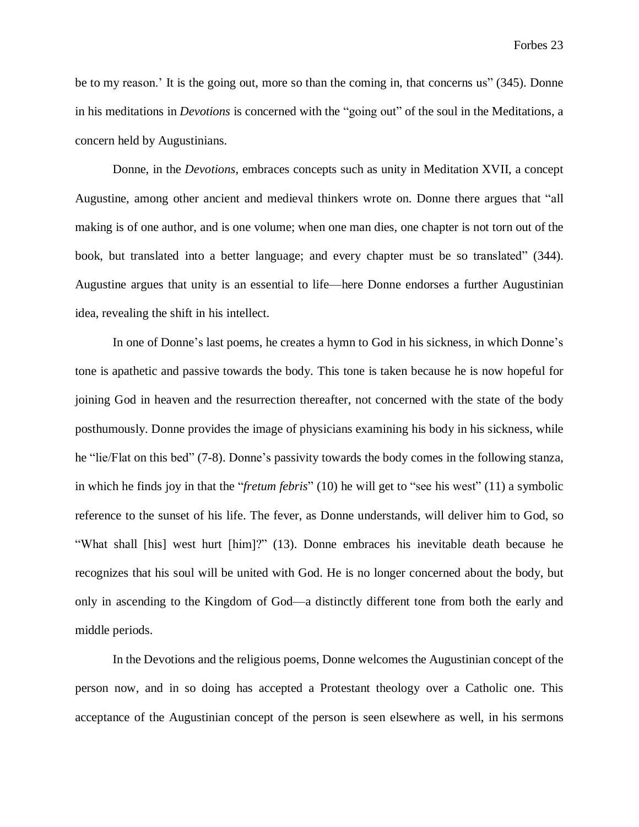be to my reason.' It is the going out, more so than the coming in, that concerns us" (345). Donne in his meditations in *Devotions* is concerned with the "going out" of the soul in the Meditations, a concern held by Augustinians.

Donne, in the *Devotions,* embraces concepts such as unity in Meditation XVII, a concept Augustine, among other ancient and medieval thinkers wrote on. Donne there argues that "all making is of one author, and is one volume; when one man dies, one chapter is not torn out of the book, but translated into a better language; and every chapter must be so translated" (344). Augustine argues that unity is an essential to life—here Donne endorses a further Augustinian idea, revealing the shift in his intellect.

In one of Donne's last poems, he creates a hymn to God in his sickness, in which Donne's tone is apathetic and passive towards the body. This tone is taken because he is now hopeful for joining God in heaven and the resurrection thereafter, not concerned with the state of the body posthumously. Donne provides the image of physicians examining his body in his sickness, while he "lie/Flat on this bed" (7-8). Donne's passivity towards the body comes in the following stanza, in which he finds joy in that the "*fretum febris*" (10) he will get to "see his west" (11) a symbolic reference to the sunset of his life. The fever, as Donne understands, will deliver him to God, so "What shall [his] west hurt [him]?" (13). Donne embraces his inevitable death because he recognizes that his soul will be united with God. He is no longer concerned about the body, but only in ascending to the Kingdom of God—a distinctly different tone from both the early and middle periods.

In the Devotions and the religious poems, Donne welcomes the Augustinian concept of the person now, and in so doing has accepted a Protestant theology over a Catholic one. This acceptance of the Augustinian concept of the person is seen elsewhere as well, in his sermons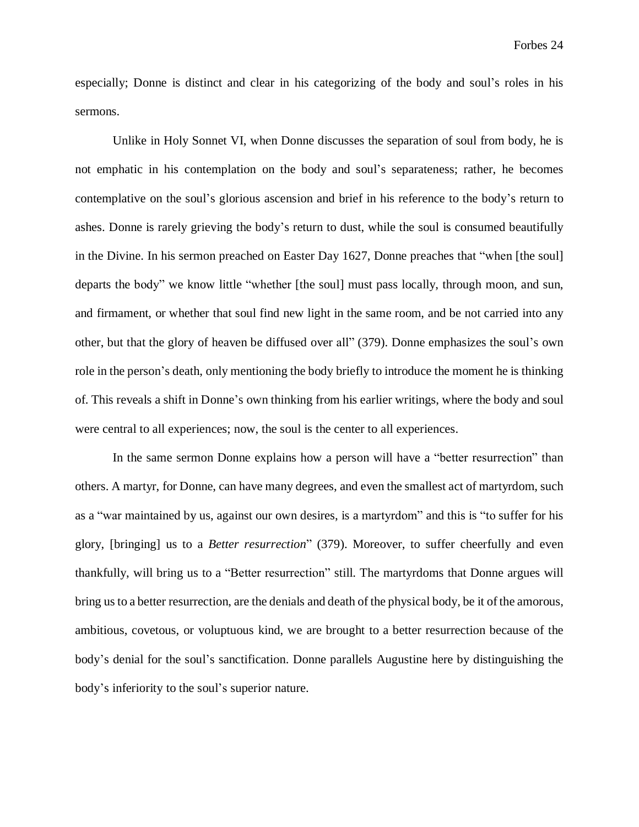especially; Donne is distinct and clear in his categorizing of the body and soul's roles in his sermons.

Unlike in Holy Sonnet VI, when Donne discusses the separation of soul from body, he is not emphatic in his contemplation on the body and soul's separateness; rather, he becomes contemplative on the soul's glorious ascension and brief in his reference to the body's return to ashes. Donne is rarely grieving the body's return to dust, while the soul is consumed beautifully in the Divine. In his sermon preached on Easter Day 1627, Donne preaches that "when [the soul] departs the body" we know little "whether [the soul] must pass locally, through moon, and sun, and firmament, or whether that soul find new light in the same room, and be not carried into any other, but that the glory of heaven be diffused over all" (379). Donne emphasizes the soul's own role in the person's death, only mentioning the body briefly to introduce the moment he is thinking of. This reveals a shift in Donne's own thinking from his earlier writings, where the body and soul were central to all experiences; now, the soul is the center to all experiences.

In the same sermon Donne explains how a person will have a "better resurrection" than others. A martyr, for Donne, can have many degrees, and even the smallest act of martyrdom, such as a "war maintained by us, against our own desires, is a martyrdom" and this is "to suffer for his glory, [bringing] us to a *Better resurrection*" (379). Moreover, to suffer cheerfully and even thankfully, will bring us to a "Better resurrection" still. The martyrdoms that Donne argues will bring usto a better resurrection, are the denials and death of the physical body, be it of the amorous, ambitious, covetous, or voluptuous kind, we are brought to a better resurrection because of the body's denial for the soul's sanctification. Donne parallels Augustine here by distinguishing the body's inferiority to the soul's superior nature.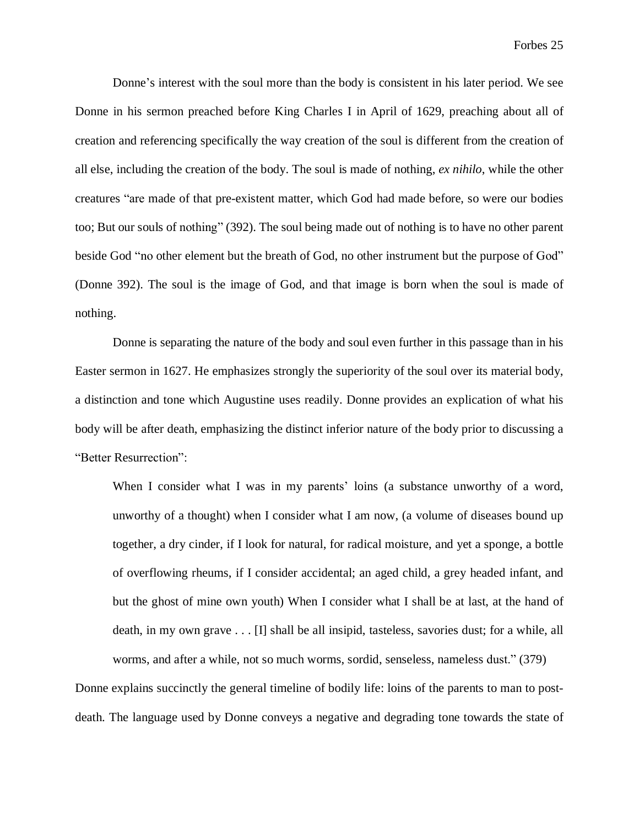Donne's interest with the soul more than the body is consistent in his later period. We see Donne in his sermon preached before King Charles I in April of 1629, preaching about all of creation and referencing specifically the way creation of the soul is different from the creation of all else, including the creation of the body. The soul is made of nothing, *ex nihilo*, while the other creatures "are made of that pre-existent matter, which God had made before, so were our bodies too; But our souls of nothing" (392). The soul being made out of nothing is to have no other parent beside God "no other element but the breath of God, no other instrument but the purpose of God" (Donne 392). The soul is the image of God, and that image is born when the soul is made of nothing.

Donne is separating the nature of the body and soul even further in this passage than in his Easter sermon in 1627. He emphasizes strongly the superiority of the soul over its material body, a distinction and tone which Augustine uses readily. Donne provides an explication of what his body will be after death, emphasizing the distinct inferior nature of the body prior to discussing a "Better Resurrection":

When I consider what I was in my parents' loins (a substance unworthy of a word, unworthy of a thought) when I consider what I am now, (a volume of diseases bound up together, a dry cinder, if I look for natural, for radical moisture, and yet a sponge, a bottle of overflowing rheums, if I consider accidental; an aged child, a grey headed infant, and but the ghost of mine own youth) When I consider what I shall be at last, at the hand of death, in my own grave . . . [I] shall be all insipid, tasteless, savories dust; for a while, all worms, and after a while, not so much worms, sordid, senseless, nameless dust." (379)

Donne explains succinctly the general timeline of bodily life: loins of the parents to man to postdeath. The language used by Donne conveys a negative and degrading tone towards the state of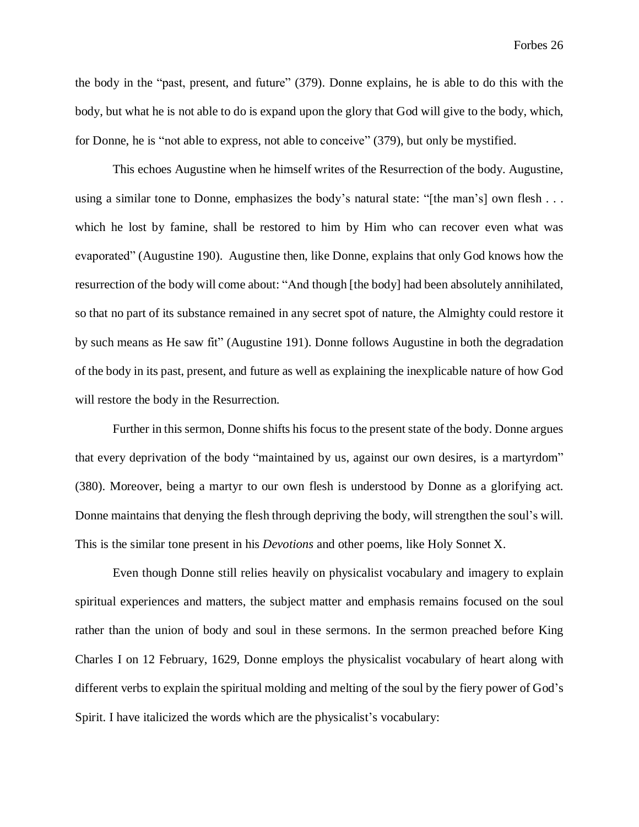the body in the "past, present, and future" (379). Donne explains, he is able to do this with the body, but what he is not able to do is expand upon the glory that God will give to the body, which, for Donne, he is "not able to express, not able to conceive" (379), but only be mystified.

This echoes Augustine when he himself writes of the Resurrection of the body. Augustine, using a similar tone to Donne, emphasizes the body's natural state: "[the man's] own flesh . . . which he lost by famine, shall be restored to him by Him who can recover even what was evaporated" (Augustine 190). Augustine then, like Donne, explains that only God knows how the resurrection of the body will come about: "And though [the body] had been absolutely annihilated, so that no part of its substance remained in any secret spot of nature, the Almighty could restore it by such means as He saw fit" (Augustine 191). Donne follows Augustine in both the degradation of the body in its past, present, and future as well as explaining the inexplicable nature of how God will restore the body in the Resurrection.

Further in this sermon, Donne shifts his focus to the present state of the body. Donne argues that every deprivation of the body "maintained by us, against our own desires, is a martyrdom" (380). Moreover, being a martyr to our own flesh is understood by Donne as a glorifying act. Donne maintains that denying the flesh through depriving the body, will strengthen the soul's will. This is the similar tone present in his *Devotions* and other poems, like Holy Sonnet X.

Even though Donne still relies heavily on physicalist vocabulary and imagery to explain spiritual experiences and matters, the subject matter and emphasis remains focused on the soul rather than the union of body and soul in these sermons. In the sermon preached before King Charles I on 12 February, 1629, Donne employs the physicalist vocabulary of heart along with different verbs to explain the spiritual molding and melting of the soul by the fiery power of God's Spirit. I have italicized the words which are the physicalist's vocabulary: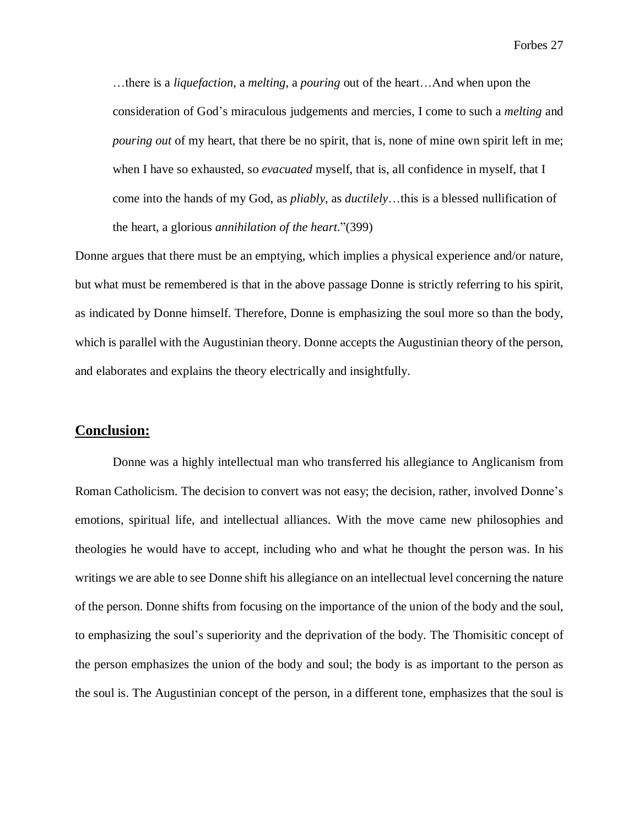Forbes 27

…there is a *liquefaction*, a *melting*, a *pouring* out of the heart…And when upon the consideration of God's miraculous judgements and mercies, I come to such a *melting* and *pouring out* of my heart, that there be no spirit, that is, none of mine own spirit left in me; when I have so exhausted, so *evacuated* myself, that is, all confidence in myself, that I come into the hands of my God, as *pliably*, as *ductilely*…this is a blessed nullification of the heart, a glorious *annihilation of the heart*."(399)

Donne argues that there must be an emptying, which implies a physical experience and/or nature, but what must be remembered is that in the above passage Donne is strictly referring to his spirit, as indicated by Donne himself. Therefore, Donne is emphasizing the soul more so than the body, which is parallel with the Augustinian theory. Donne accepts the Augustinian theory of the person, and elaborates and explains the theory electrically and insightfully.

#### **Conclusion:**

Donne was a highly intellectual man who transferred his allegiance to Anglicanism from Roman Catholicism. The decision to convert was not easy; the decision, rather, involved Donne's emotions, spiritual life, and intellectual alliances. With the move came new philosophies and theologies he would have to accept, including who and what he thought the person was. In his writings we are able to see Donne shift his allegiance on an intellectual level concerning the nature of the person. Donne shifts from focusing on the importance of the union of the body and the soul, to emphasizing the soul's superiority and the deprivation of the body. The Thomisitic concept of the person emphasizes the union of the body and soul; the body is as important to the person as the soul is. The Augustinian concept of the person, in a different tone, emphasizes that the soul is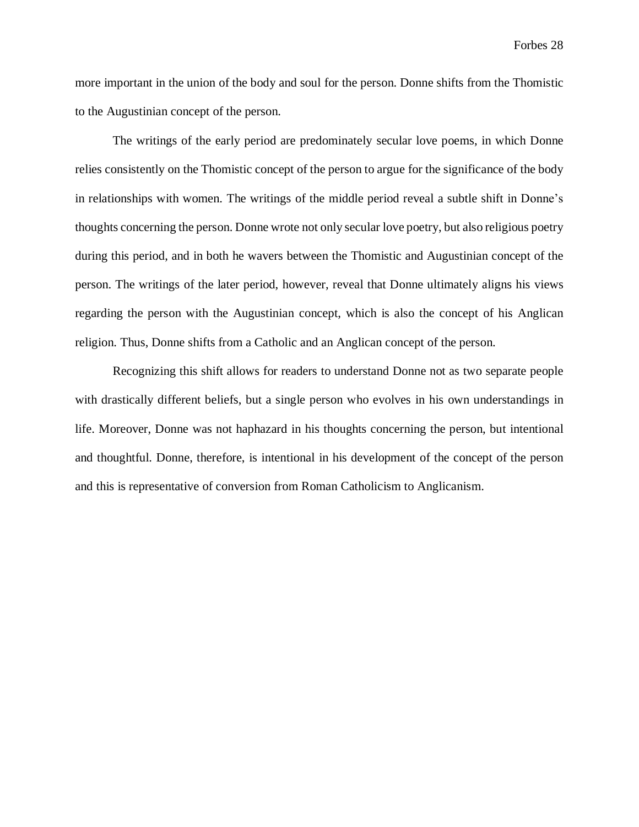more important in the union of the body and soul for the person. Donne shifts from the Thomistic to the Augustinian concept of the person.

The writings of the early period are predominately secular love poems, in which Donne relies consistently on the Thomistic concept of the person to argue for the significance of the body in relationships with women. The writings of the middle period reveal a subtle shift in Donne's thoughts concerning the person. Donne wrote not only secular love poetry, but also religious poetry during this period, and in both he wavers between the Thomistic and Augustinian concept of the person. The writings of the later period, however, reveal that Donne ultimately aligns his views regarding the person with the Augustinian concept, which is also the concept of his Anglican religion. Thus, Donne shifts from a Catholic and an Anglican concept of the person.

Recognizing this shift allows for readers to understand Donne not as two separate people with drastically different beliefs, but a single person who evolves in his own understandings in life. Moreover, Donne was not haphazard in his thoughts concerning the person, but intentional and thoughtful. Donne, therefore, is intentional in his development of the concept of the person and this is representative of conversion from Roman Catholicism to Anglicanism.